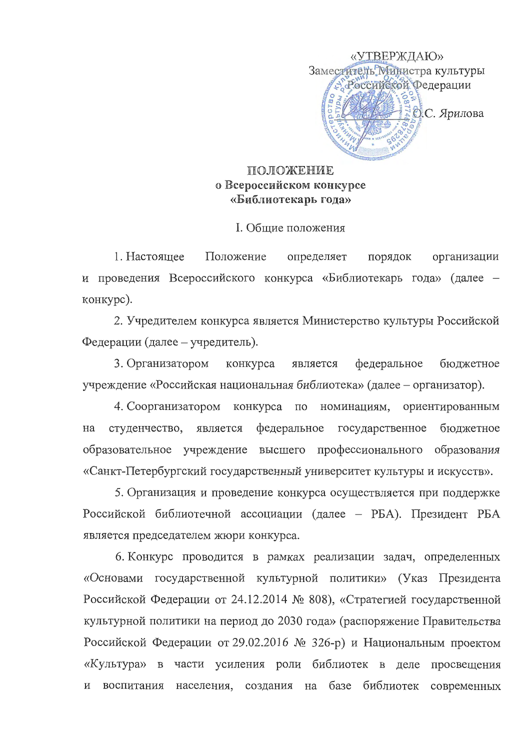

## **ПОЛОЖЕНИЕ** о Всероссийском конкурсе «Библиотекарь года»

I. Обшие положения

1. Настояшее Положение определяет порядок организации и проведения Всероссийского конкурса «Библиотекарь года» (далее конкурс).

2. Учредителем конкурса является Министерство культуры Российской Федерации (далее – учредитель).

является федеральное бюджетное 3. Организатором конкурса учреждение «Российская национальная библиотека» (далее - организатор).

4. Соорганизатором конкурса по номинациям, ориентированным студенчество, федеральное государственное бюджетное на является образовательное учреждение высшего профессионального образования «Санкт-Петербургский государственный университет культуры и искусств».

5. Организация и проведение конкурса осуществляется при поддержке Российской библиотечной ассоциации (далее - РБА). Президент РБА является председателем жюри конкурса.

6. Конкурс проводится в рамках реализации задач, определенных «Основами государственной культурной политики» (Указ Президента Российской Федерации от 24.12.2014 № 808), «Стратегией государственной культурной политики на период до 2030 года» (распоряжение Правительства Российской Федерации от 29.02.2016 № 326-р) и Национальным проектом «Культура» в части усиления роли библиотек в деле просвещения воспитания населения, создания на базе библиотек современных И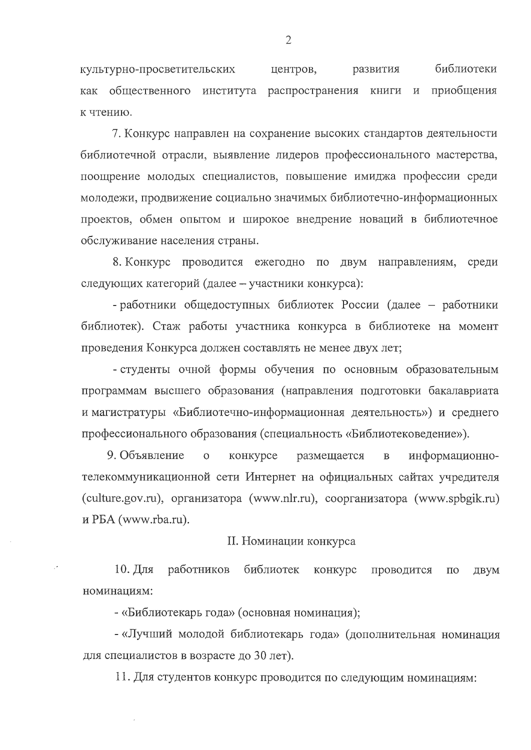библиотеки культурно-просветительских центров, развития как общественного института распространения книги и приобщения к чтению.

7. Конкурс направлен на сохранение высоких стандартов деятельности библиотечной отрасли, выявление лидеров профессионального мастерства, поощрение молодых специалистов, повышение имиджа профессии среди молодежи, продвижение социально значимых библиотечно-информационных проектов, обмен опытом и широкое внедрение новаций в библиотечное обслуживание населения страны.

8. Конкурс проводится ежегодно по двум направлениям, среди следующих категорий (далее - участники конкурса):

- работники общедоступных библиотек России (далее - работники библиотек). Стаж работы участника конкурса в библиотеке на момент проведения Конкурса должен составлять не менее двух лет;

- студенты очной формы обучения по основным образовательным программам высшего образования (направления подготовки бакалавриата и магистратуры «Библиотечно-информационная деятельность») и среднего профессионального образования (специальность «Библиотековедение»).

9. Объявление  $\overline{O}$ конкурсе размещается  $\overline{B}$ информационнотелекоммуникационной сети Интернет на официальных сайтах учредителя (culture.gov.ru), организатора (www.nlr.ru), соорганизатора (www.spbgik.ru) и PБА (www.rba.ru).

II. Номинации конкурса

 $10. \overline{u}$ ля работников библиотек конкурс проводится  $\Pi$ O двум номинациям:

- «Библиотекарь года» (основная номинация);

- «Лучший молодой библиотекарь года» (дополнительная номинация для специалистов в возрасте до 30 лет).

11. Для студентов конкурс проводится по следующим номинациям: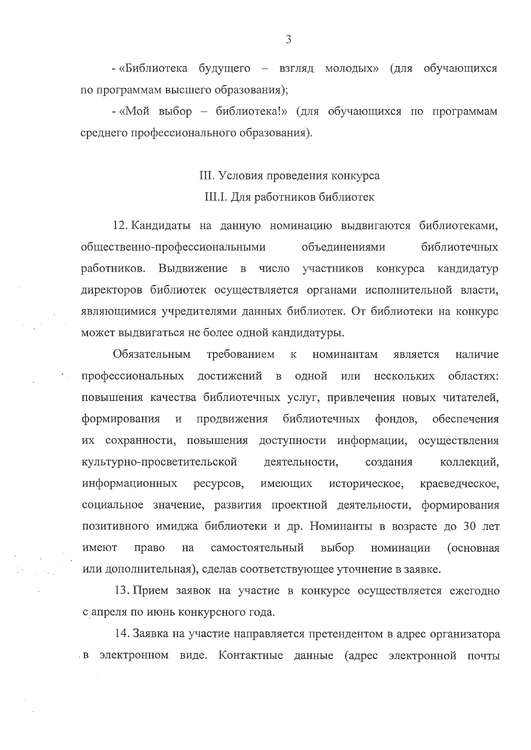- «Библиотека будущего – взгляд молодых» (для обучающихся по программам высшего образования);

- «Мой выбор - библиотека!» (для обучающихся по программам среднего профессионального образования).

III. Условия проведения конкурса

III.I. Для работников библиотек

12. Кандидаты на данную номинацию выдвигаются библиотеками, общественно-профессиональными библиотечных объединениями работников. Выдвижение  $\mathbf{B}$ число участников конкурса кандидатур директоров библиотек осуществляется органами исполнительной власти, являющимися учредителями данных библиотек. От библиотеки на конкурс может выдвигаться не более одной кандидатуры.

Обязательным требованием  $\overline{\mathbf{K}}$ номинантам является наличие профессиональных достижений в одной областях: ИЛИ нескольких повышения качества библиотечных услуг, привлечения новых читателей, формирования  $\overline{M}$ продвижения библиотечных фондов, обеспечения их сохранности, повышения доступности информации, осуществления культурно-просветительской деятельности, создания коллекций, историческое, информационных имеющих ресурсов, краеведческое, социальное значение, развития проектной деятельности, формирования позитивного имиджа библиотеки и др. Номинанты в возрасте до 30 лет выбор право самостоятельный номинации имеют на (основная или дополнительная), сделав соответствующее уточнение в заявке.

13. Прием заявок на участие в конкурсе осуществляется ежегодно с апреля по июнь конкурсного года.

14. Заявка на участие направляется претендентом в адрес организатора в электронном виде. Контактные данные (адрес электронной почты

3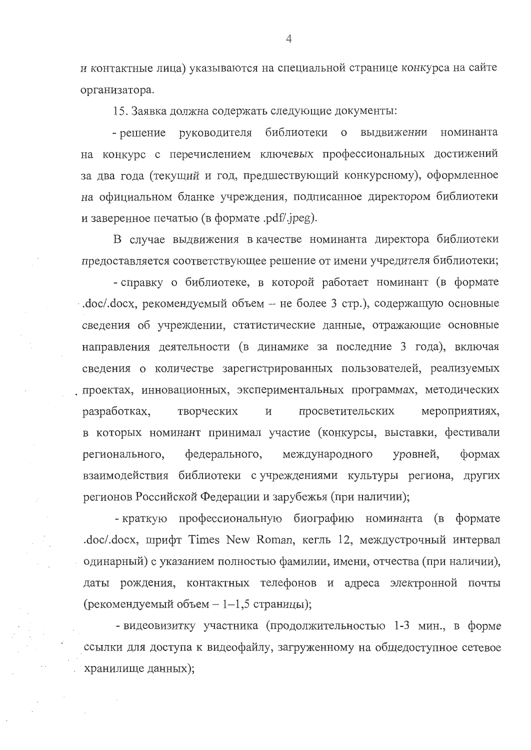и контактные лица) указываются на специальной странице конкурса на сайте организатора.

15. Заявка должна содержать следующие документы:

- решение руководителя библиотеки о выдвижении номинанта на конкурс с перечислением ключевых профессиональных достижений за два года (текущий и год, предшествующий конкурсному), оформленное на официальном бланке учреждения, подписанное директором библиотеки и заверенное печатью (в формате .pdf/.jpeg).

В случае выдвижения в качестве номинанта директора библиотеки предоставляется соответствующее решение от имени учредителя библиотеки;

- справку о библиотеке, в которой работает номинант (в формате .doc/.docx, рекомендуемый объем - не более 3 стр.), содержащую основные сведения об учреждении, статистические данные, отражающие основные направления деятельности (в динамике за последние 3 года), включая сведения о количестве зарегистрированных пользователей, реализуемых проектах, инновационных, экспериментальных программах, методических разработках, творческих  $\mathbf{M}$ просветительских мероприятиях, в которых номинант принимал участие (конкурсы, выставки, фестивали регионального, федерального, международного уровней,  $\phi$  opmax взаимодействия библиотеки с учреждениями культуры региона, других регионов Российской Федерации и зарубежья (при наличии);

- краткую профессиональную биографию номинанта (в формате .doc/.docx, шрифт Times New Roman, кегль 12, междустрочный интервал одинарный) с указанием полностью фамилии, имени, отчества (при наличии), даты рождения, контактных телефонов и адреса электронной почты (рекомендуемый объем  $-1-1,5$  страницы);

- видеовизитку участника (продолжительностью 1-3 мин., в форме ссылки для доступа к видеофайлу, загруженному на общедоступное сетевое хранилище данных);

 $\overline{4}$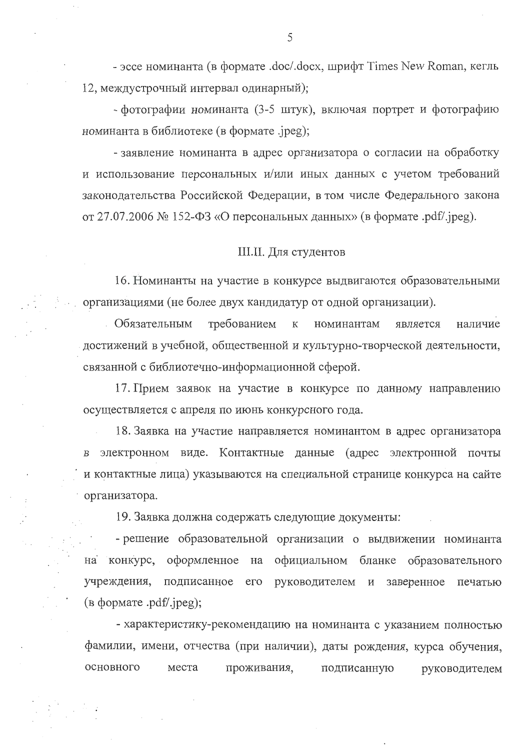- эссе номинанта (в формате .doc/.docx, шрифт Times New Roman, кегль 12, междустрочный интервал одинарный);

- фотографии номинанта (3-5 штук), включая портрет и фотографию номинанта в библиотеке (в формате .jpeg);

- заявление номинанта в адрес организатора о согласии на обработку и использование персональных и/или иных данных с учетом требований законодательства Российской Федерации, в том числе Федерального закона от 27.07.2006 № 152-ФЗ «О персональных данных» (в формате .pdf/.jpeg).

## **III.II.** Для студентов

16. Номинанты на участие в конкурсе выдвигаются образовательными организациями (не более двух кандидатур от одной организации).

Обязательным требованием  $\mathbf K$ номинантам является наличие достижений в учебной, общественной и культурно-творческой деятельности, связанной с библиотечно-информационной сферой.

17. Прием заявок на участие в конкурсе по данному направлению осуществляется с апреля по июнь конкурсного года.

18. Заявка на участие направляется номинантом в адрес организатора в электронном виде. Контактные данные (адрес электронной почты и контактные лица) указываются на специальной странице конкурса на сайте организатора.

19. Заявка должна содержать следующие документы:

- решение образовательной организации о выдвижении номинанта на конкурс, оформленное на официальном бланке образовательного учреждения, подписанное  $ero$ руководителем  $\mathbf{M}$ заверенное печатью  $(a \text{ dopmare } .pdf'.ipeg);$ 

- характеристику-рекомендацию на номинанта с указанием полностью фамилии, имени, отчества (при наличии), даты рождения, курса обучения, основного места проживания, подписанную руководителем

5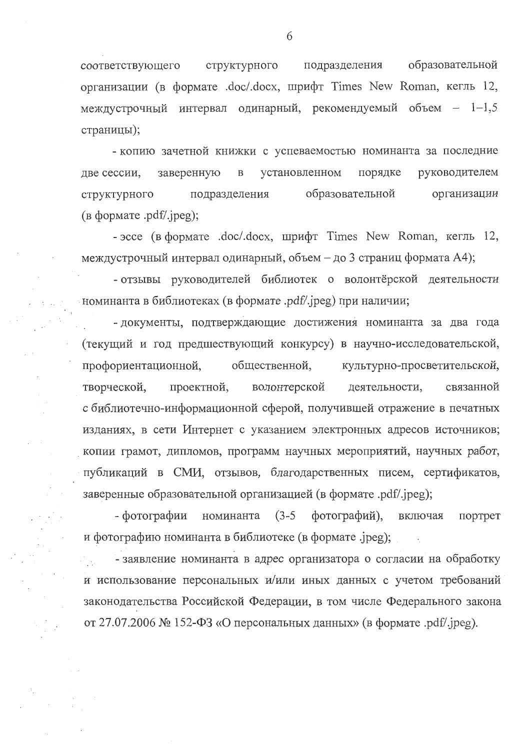образовательной структурного подразделения соответствующего организации (в формате .doc/.docx, шрифт Times New Roman, кегль 12, междустрочный интервал одинарный, рекомендуемый объем - 1-1,5 страницы);

- копию зачетной книжки с успеваемостью номинанта за последние установленном руководителем заверенную порядке две сессии,  $\, {\bf B}$ образовательной организации структурного подразделения  $(a \phi)$  (B формате .pdf/.jpeg);

- эссе (в формате .doc/.docx, шрифт Times New Roman, кегль 12, междустрочный интервал одинарный, объем - до 3 страниц формата А4);

- отзывы руководителей библиотек о волонтёрской деятельности номинанта в библиотеках (в формате .pdf/.jpeg) при наличии;

- документы, подтверждающие достижения номинанта за два года (текущий и год предшествующий конкурсу) в научно-исследовательской, культурно-просветительской, профориентационной, общественной, проектной, волонтерской деятельности, связанной творческой, с библиотечно-информационной сферой, получившей отражение в печатных изданиях, в сети Интернет с указанием электронных адресов источников; копии грамот, дипломов, программ научных мероприятий, научных работ, публикаций в СМИ, отзывов, благодарственных писем, сертификатов, заверенные образовательной организацией (в формате .pdf/.jpeg);

- фотографии номинанта  $(3-5)$ фотографий), включая портрет и фотографию номинанта в библиотеке (в формате .jpeg);

- заявление номинанта в адрес организатора о согласии на обработку и использование персональных и/или иных данных с учетом требований законодательства Российской Федерации, в том числе Федерального закона от 27.07.2006 № 152-ФЗ «О персональных данных» (в формате .pdf/.jpeg).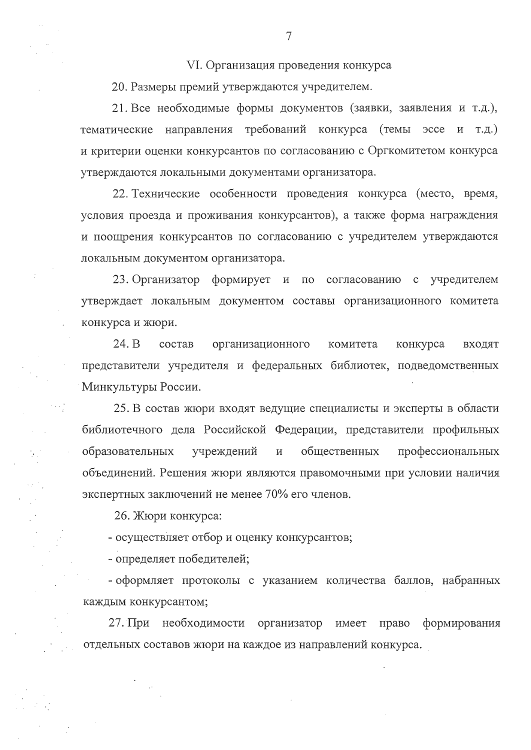VI. Организация проведения конкурса

20. Размеры премий утверждаются учредителем.

21. Все необходимые формы документов (заявки, заявления и т.д.), тематические направления требований конкурса (темы эссе и т.д.) и критерии оценки конкурсантов по согласованию с Оргкомитетом конкурса утверждаются локальными документами организатора.

22. Технические особенности проведения конкурса (место, время, условия проезда и проживания конкурсантов), а также форма награждения и поощрения конкурсантов по согласованию с учредителем утверждаются локальным документом организатора.

23. Организатор формирует и по согласованию с учредителем утверждает локальным документом составы организационного комитета конкурса и жюри.

24. B состав организационного комитета конкурса входят представители учредителя и федеральных библиотек, подведомственных Минкультуры России.

25. В состав жюри входят ведущие специалисты и эксперты в области библиотечного дела Российской Федерации, представители профильных образовательных учреждений общественных профессиональных объединений. Решения жюри являются правомочными при условии наличия экспертных заключений не менее 70% его членов.

26. Жюри конкурса:

- осуществляет отбор и оценку конкурсантов;

- определяет победителей;

- оформляет протоколы с указанием количества баллов, набранных каждым конкурсантом;

27. При необходимости организатор имеет право формирования отдельных составов жюри на каждое из направлений конкурса.